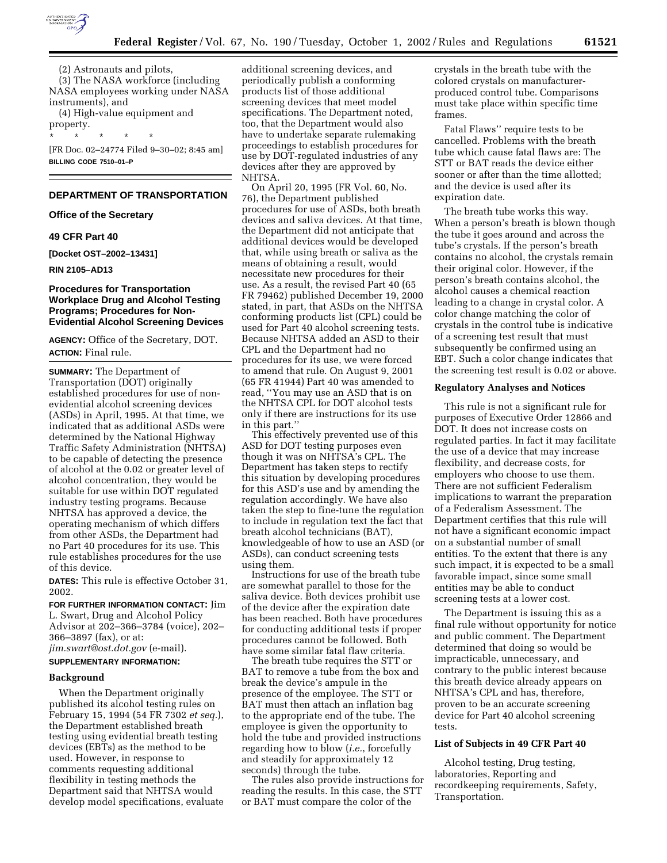

(2) Astronauts and pilots, (3) The NASA workforce (including NASA employees working under NASA instruments), and

(4) High-value equipment and property. \* \* \* \* \*

[FR Doc. 02–24774 Filed 9–30–02; 8:45 am] **BILLING CODE 7510–01–P**

#### **DEPARTMENT OF TRANSPORTATION**

#### **Office of the Secretary**

# **49 CFR Part 40**

**[Docket OST–2002–13431]** 

**RIN 2105–AD13** 

## **Procedures for Transportation Workplace Drug and Alcohol Testing Programs; Procedures for Non-Evidential Alcohol Screening Devices**

**AGENCY:** Office of the Secretary, DOT. **ACTION:** Final rule.

**SUMMARY:** The Department of Transportation (DOT) originally established procedures for use of nonevidential alcohol screening devices (ASDs) in April, 1995. At that time, we indicated that as additional ASDs were determined by the National Highway Traffic Safety Administration (NHTSA) to be capable of detecting the presence of alcohol at the 0.02 or greater level of alcohol concentration, they would be suitable for use within DOT regulated industry testing programs. Because NHTSA has approved a device, the operating mechanism of which differs from other ASDs, the Department had no Part 40 procedures for its use. This rule establishes procedures for the use of this device.

**DATES:** This rule is effective October 31, 2002.

**FOR FURTHER INFORMATION CONTACT:** Jim L. Swart, Drug and Alcohol Policy Advisor at 202–366–3784 (voice), 202– 366–3897 (fax), or at: *jim.swart@ost.dot.gov* (e-mail).

# **SUPPLEMENTARY INFORMATION:**

#### **Background**

When the Department originally published its alcohol testing rules on February 15, 1994 (54 FR 7302 *et seq.*), the Department established breath testing using evidential breath testing devices (EBTs) as the method to be used. However, in response to comments requesting additional flexibility in testing methods the Department said that NHTSA would develop model specifications, evaluate

additional screening devices, and periodically publish a conforming products list of those additional screening devices that meet model specifications. The Department noted, too, that the Department would also have to undertake separate rulemaking proceedings to establish procedures for use by DOT-regulated industries of any devices after they are approved by NHTSA.

On April 20, 1995 (FR Vol. 60, No. 76), the Department published procedures for use of ASDs, both breath devices and saliva devices. At that time, the Department did not anticipate that additional devices would be developed that, while using breath or saliva as the means of obtaining a result, would necessitate new procedures for their use. As a result, the revised Part 40 (65 FR 79462) published December 19, 2000 stated, in part, that ASDs on the NHTSA conforming products list (CPL) could be used for Part 40 alcohol screening tests. Because NHTSA added an ASD to their CPL and the Department had no procedures for its use, we were forced to amend that rule. On August 9, 2001 (65 FR 41944) Part 40 was amended to read, ''You may use an ASD that is on the NHTSA CPL for DOT alcohol tests only if there are instructions for its use in this part.''

This effectively prevented use of this ASD for DOT testing purposes even though it was on NHTSA's CPL. The Department has taken steps to rectify this situation by developing procedures for this ASD's use and by amending the regulation accordingly. We have also taken the step to fine-tune the regulation to include in regulation text the fact that breath alcohol technicians (BAT), knowledgeable of how to use an ASD (or ASDs), can conduct screening tests using them.

Instructions for use of the breath tube are somewhat parallel to those for the saliva device. Both devices prohibit use of the device after the expiration date has been reached. Both have procedures for conducting additional tests if proper procedures cannot be followed. Both have some similar fatal flaw criteria.

The breath tube requires the STT or BAT to remove a tube from the box and break the device's ampule in the presence of the employee. The STT or BAT must then attach an inflation bag to the appropriate end of the tube. The employee is given the opportunity to hold the tube and provided instructions regarding how to blow (*i.e.*, forcefully and steadily for approximately 12 seconds) through the tube.

The rules also provide instructions for reading the results. In this case, the STT or BAT must compare the color of the

crystals in the breath tube with the colored crystals on manufacturerproduced control tube. Comparisons must take place within specific time frames.

Fatal Flaws'' require tests to be cancelled. Problems with the breath tube which cause fatal flaws are: The STT or BAT reads the device either sooner or after than the time allotted; and the device is used after its expiration date.

The breath tube works this way. When a person's breath is blown though the tube it goes around and across the tube's crystals. If the person's breath contains no alcohol, the crystals remain their original color. However, if the person's breath contains alcohol, the alcohol causes a chemical reaction leading to a change in crystal color. A color change matching the color of crystals in the control tube is indicative of a screening test result that must subsequently be confirmed using an EBT. Such a color change indicates that the screening test result is 0.02 or above.

#### **Regulatory Analyses and Notices**

This rule is not a significant rule for purposes of Executive Order 12866 and DOT. It does not increase costs on regulated parties. In fact it may facilitate the use of a device that may increase flexibility, and decrease costs, for employers who choose to use them. There are not sufficient Federalism implications to warrant the preparation of a Federalism Assessment. The Department certifies that this rule will not have a significant economic impact on a substantial number of small entities. To the extent that there is any such impact, it is expected to be a small favorable impact, since some small entities may be able to conduct screening tests at a lower cost.

The Department is issuing this as a final rule without opportunity for notice and public comment. The Department determined that doing so would be impracticable, unnecessary, and contrary to the public interest because this breath device already appears on NHTSA's CPL and has, therefore, proven to be an accurate screening device for Part 40 alcohol screening tests.

## **List of Subjects in 49 CFR Part 40**

Alcohol testing, Drug testing, laboratories, Reporting and recordkeeping requirements, Safety, Transportation.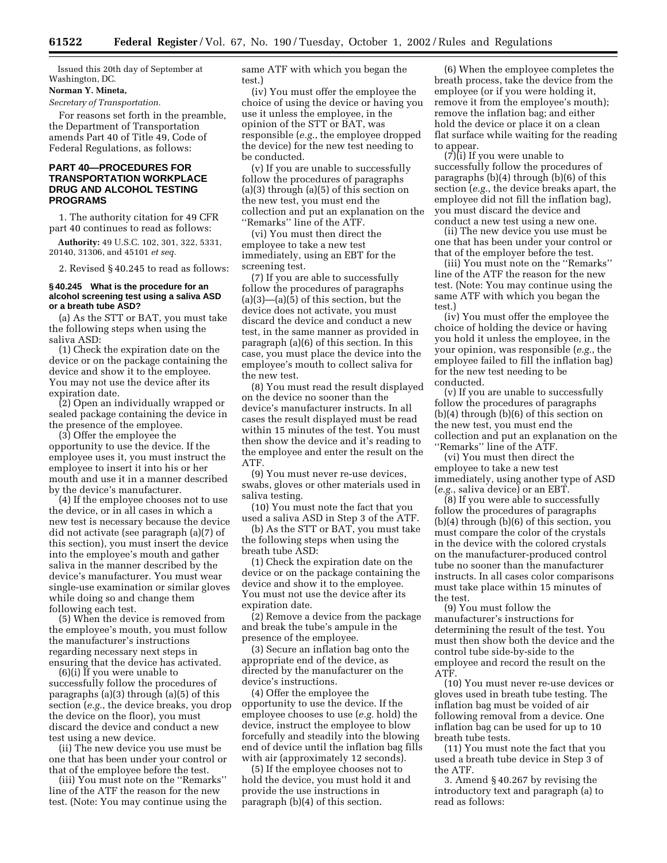Issued this 20th day of September at Washington, DC.

#### **Norman Y. Mineta,**

*Secretary of Transportation.*

For reasons set forth in the preamble, the Department of Transportation amends Part 40 of Title 49, Code of Federal Regulations, as follows:

# **PART 40—PROCEDURES FOR TRANSPORTATION WORKPLACE DRUG AND ALCOHOL TESTING PROGRAMS**

1. The authority citation for 49 CFR part 40 continues to read as follows:

**Authority:** 49 U.S.C. 102, 301, 322, 5331, 20140, 31306, and 45101 *et seq.*

2. Revised § 40.245 to read as follows:

#### **§ 40.245 What is the procedure for an alcohol screening test using a saliva ASD or a breath tube ASD?**

(a) As the STT or BAT, you must take the following steps when using the saliva ASD:

(1) Check the expiration date on the device or on the package containing the device and show it to the employee. You may not use the device after its expiration date.

(2) Open an individually wrapped or sealed package containing the device in the presence of the employee.

(3) Offer the employee the opportunity to use the device. If the employee uses it, you must instruct the employee to insert it into his or her mouth and use it in a manner described by the device's manufacturer.

(4) If the employee chooses not to use the device, or in all cases in which a new test is necessary because the device did not activate (see paragraph (a)(7) of this section), you must insert the device into the employee's mouth and gather saliva in the manner described by the device's manufacturer. You must wear single-use examination or similar gloves while doing so and change them following each test.

(5) When the device is removed from the employee's mouth, you must follow the manufacturer's instructions regarding necessary next steps in ensuring that the device has activated.

(6)(i) If you were unable to successfully follow the procedures of paragraphs (a)(3) through (a)(5) of this section (*e.g.*, the device breaks, you drop the device on the floor), you must discard the device and conduct a new test using a new device.

(ii) The new device you use must be one that has been under your control or that of the employee before the test.

(iii) You must note on the ''Remarks'' line of the ATF the reason for the new test. (Note: You may continue using the same ATF with which you began the test.)

(iv) You must offer the employee the choice of using the device or having you use it unless the employee, in the opinion of the STT or BAT, was responsible (*e.g.*, the employee dropped the device) for the new test needing to be conducted.

(v) If you are unable to successfully follow the procedures of paragraphs (a)(3) through (a)(5) of this section on the new test, you must end the collection and put an explanation on the ''Remarks'' line of the ATF.

(vi) You must then direct the employee to take a new test immediately, using an EBT for the screening test.

(7) If you are able to successfully follow the procedures of paragraphs  $(a)(3)$ — $(a)(\overline{5})$  of this section, but the device does not activate, you must discard the device and conduct a new test, in the same manner as provided in paragraph (a)(6) of this section. In this case, you must place the device into the employee's mouth to collect saliva for the new test.

(8) You must read the result displayed on the device no sooner than the device's manufacturer instructs. In all cases the result displayed must be read within 15 minutes of the test. You must then show the device and it's reading to the employee and enter the result on the ATF.

(9) You must never re-use devices, swabs, gloves or other materials used in saliva testing.

(10) You must note the fact that you used a saliva ASD in Step 3 of the ATF.

(b) As the STT or BAT, you must take the following steps when using the breath tube ASD:

(1) Check the expiration date on the device or on the package containing the device and show it to the employee. You must not use the device after its expiration date.

(2) Remove a device from the package and break the tube's ampule in the presence of the employee.

(3) Secure an inflation bag onto the appropriate end of the device, as directed by the manufacturer on the device's instructions.

(4) Offer the employee the opportunity to use the device. If the employee chooses to use (*e.g.* hold) the device, instruct the employee to blow forcefully and steadily into the blowing end of device until the inflation bag fills with air (approximately 12 seconds).

(5) If the employee chooses not to hold the device, you must hold it and provide the use instructions in paragraph (b)(4) of this section.

(6) When the employee completes the breath process, take the device from the employee (or if you were holding it, remove it from the employee's mouth); remove the inflation bag; and either hold the device or place it on a clean flat surface while waiting for the reading to appear.

 $(7)(i)$  If you were unable to successfully follow the procedures of paragraphs (b)(4) through (b)(6) of this section (*e.g.*, the device breaks apart, the employee did not fill the inflation bag), you must discard the device and conduct a new test using a new one.

(ii) The new device you use must be one that has been under your control or that of the employer before the test.

(iii) You must note on the ''Remarks'' line of the ATF the reason for the new test. (Note: You may continue using the same ATF with which you began the test.)

(iv) You must offer the employee the choice of holding the device or having you hold it unless the employee, in the your opinion, was responsible (*e.g.*, the employee failed to fill the inflation bag) for the new test needing to be conducted.

(v) If you are unable to successfully follow the procedures of paragraphs (b)(4) through (b)(6) of this section on the new test, you must end the collection and put an explanation on the ''Remarks'' line of the ATF.

(vi) You must then direct the employee to take a new test immediately, using another type of ASD (*e.g.*, saliva device) or an EBT.

(8) If you were able to successfully follow the procedures of paragraphs (b)(4) through (b)(6) of this section, you must compare the color of the crystals in the device with the colored crystals on the manufacturer-produced control tube no sooner than the manufacturer instructs. In all cases color comparisons must take place within 15 minutes of the test.

(9) You must follow the manufacturer's instructions for determining the result of the test. You must then show both the device and the control tube side-by-side to the employee and record the result on the ATF.

(10) You must never re-use devices or gloves used in breath tube testing. The inflation bag must be voided of air following removal from a device. One inflation bag can be used for up to 10 breath tube tests.

(11) You must note the fact that you used a breath tube device in Step 3 of the ATF.

3. Amend § 40.267 by revising the introductory text and paragraph (a) to read as follows: